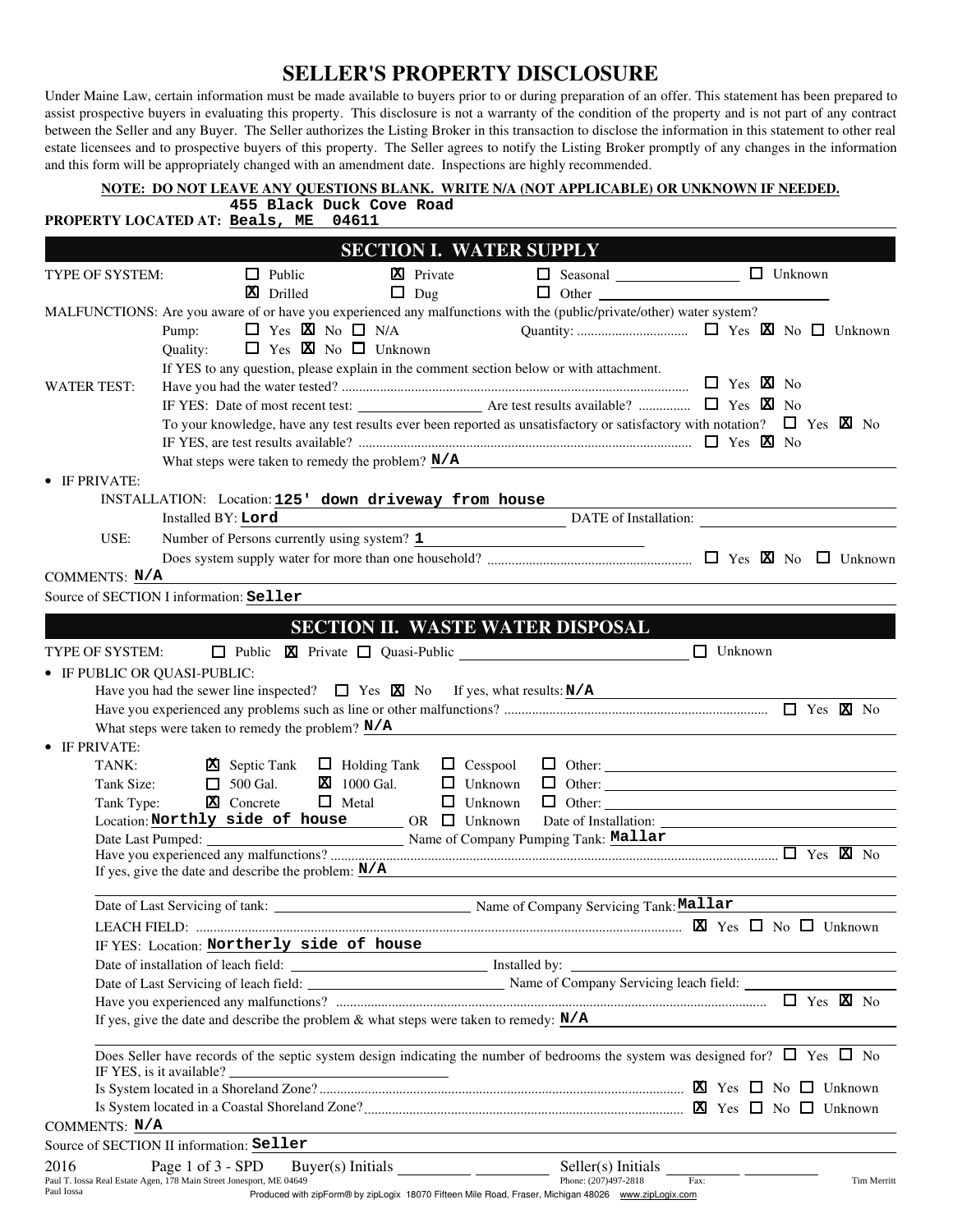## **SELLER'S PROPERTY DISCLOSURE**

Under Maine Law, certain information must be made available to buyers prior to or during preparation of an offer. This statement has been prepared to assist prospective buyers in evaluating this property. This disclosure is not a warranty of the condition of the property and is not part of any contract between the Seller and any Buyer. The Seller authorizes the Listing Broker in this transaction to disclose the information in this statement to other real estate licensees and to prospective buyers of this property. The Seller agrees to notify the Listing Broker promptly of any changes in the information and this form will be appropriately changed with an amendment date. Inspections are highly recommended.

|                              | NOTE: DO NOT LEAVE ANY QUESTIONS BLANK. WRITE N/A (NOT APPLICABLE) OR UNKNOWN IF NEEDED.<br>455 Black Duck Cove Road                                                 |
|------------------------------|----------------------------------------------------------------------------------------------------------------------------------------------------------------------|
|                              | PROPERTY LOCATED AT: Beals, ME<br>04611                                                                                                                              |
|                              | <b>SECTION I. WATER SUPPLY</b>                                                                                                                                       |
| TYPE OF SYSTEM:              | □ Seasonal <u>____________________</u> □ Unknown<br><b>X</b> Private<br>$\Box$ Public                                                                                |
|                              | X Drilled<br>$\Box$ Dug<br>$\Box$ Other                                                                                                                              |
|                              | MALFUNCTIONS: Are you aware of or have you experienced any malfunctions with the (public/private/other) water system?                                                |
|                              | $\Box$ Yes $\boxtimes$ No $\Box$ N/A<br>Pump:                                                                                                                        |
|                              | $\Box$ Yes $\boxtimes$ No $\Box$ Unknown<br>Quality:                                                                                                                 |
|                              | If YES to any question, please explain in the comment section below or with attachment.                                                                              |
| <b>WATER TEST:</b>           |                                                                                                                                                                      |
|                              |                                                                                                                                                                      |
|                              | To your knowledge, have any test results ever been reported as unsatisfactory or satisfactory with notation? $\square$ Yes $\boxtimes$ No                            |
|                              |                                                                                                                                                                      |
|                              | What steps were taken to remedy the problem? $N/A$                                                                                                                   |
| • IF PRIVATE:                |                                                                                                                                                                      |
|                              | INSTALLATION: Location: 125' down driveway from house                                                                                                                |
|                              | DATE of Installation:<br>Installed BY: Lord                                                                                                                          |
| USE:                         | Number of Persons currently using system? 1                                                                                                                          |
|                              |                                                                                                                                                                      |
| COMMENTS: N/A                |                                                                                                                                                                      |
|                              | Source of SECTION I information: Seller                                                                                                                              |
|                              | <b>SECTION II. WASTE WATER DISPOSAL</b>                                                                                                                              |
|                              | $\Box$ Unknown                                                                                                                                                       |
| TYPE OF SYSTEM:              | Public <b>X</b> Private <b>Q</b> Quasi-Public <b>Quasi-Public</b>                                                                                                    |
| • IF PUBLIC OR QUASI-PUBLIC: |                                                                                                                                                                      |
|                              | Have you had the sewer line inspected? $\Box$ Yes $\Box$ No If yes, what results: N/A                                                                                |
|                              | What steps were taken to remedy the problem? $N/A$                                                                                                                   |
| IF PRIVATE:                  |                                                                                                                                                                      |
| TANK:                        | $\Box$ Holding Tank $\Box$ Cesspool<br><b>X</b> Septic Tank                                                                                                          |
| Tank Size:                   | $\mathbf{X}$ 1000 Gal.<br>$\Box$ 500 Gal.<br>$\Box$ Unknown                                                                                                          |
| Tank Type:                   | $\Box$ Metal<br><b>X</b> Concrete<br>$\Box$ Unknown                                                                                                                  |
|                              | $\text{Location: } \textbf{Northly side of house} \qquad \qquad \text{OR} \quad \Box \quad \text{Unknown}$                                                           |
|                              | Date Last Pumped: Name of Company Pumping Tank: Mallar                                                                                                               |
|                              |                                                                                                                                                                      |
|                              | If yes, give the date and describe the problem: $N/A$                                                                                                                |
|                              |                                                                                                                                                                      |
|                              |                                                                                                                                                                      |
|                              | IF YES: Location: Northerly side of house                                                                                                                            |
|                              |                                                                                                                                                                      |
|                              |                                                                                                                                                                      |
|                              | $\Box$ Yes $\boxtimes$ No                                                                                                                                            |
|                              | If yes, give the date and describe the problem & what steps were taken to remedy: $\underline{N/A}$                                                                  |
|                              |                                                                                                                                                                      |
|                              | Does Seller have records of the septic system design indicating the number of bedrooms the system was designed for? $\square$ Yes $\square$ No                       |
|                              | IF YES, is it available?<br><u> 1989 - Johann Barn, fransk politik (d. 1989)</u>                                                                                     |
|                              |                                                                                                                                                                      |
|                              |                                                                                                                                                                      |
| COMMENTS: N/A                |                                                                                                                                                                      |
|                              | Source of SECTION II information: Seller                                                                                                                             |
| 2016                         | Page 1 of 3 - SPD<br>Seller(s) Initials<br>Phone: (207)497-2818<br>Paul T. Iossa Real Estate Agen, 178 Main Street Jonesport, ME 04649<br>Fax:<br><b>Tim Merritt</b> |
| Paul Iossa                   | Produced with zipForm® by zipLogix 18070 Fifteen Mile Road, Fraser, Michigan 48026 www.zipLogix.com                                                                  |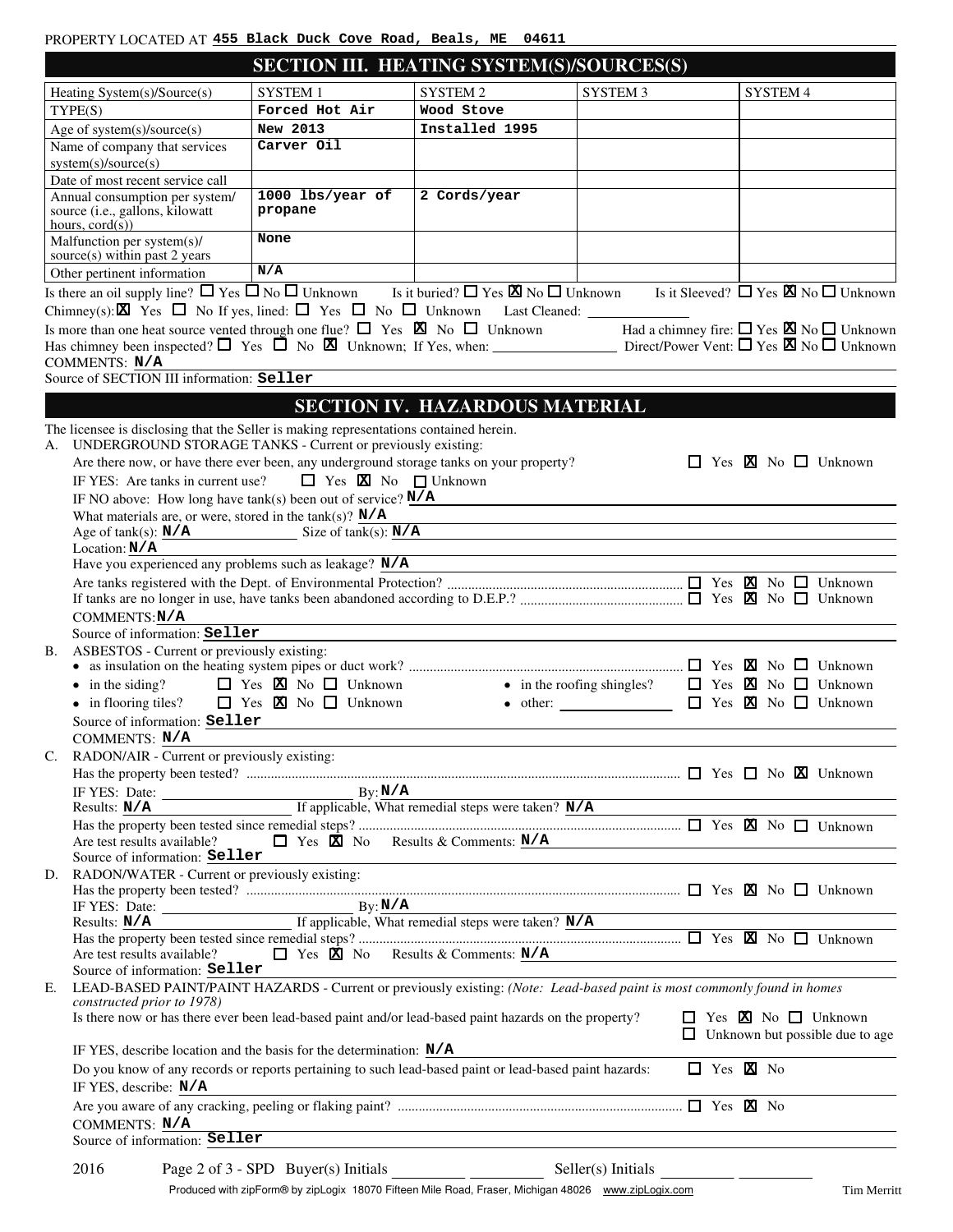| PROPERTY LOCATED AT 455 Black Duck Cove Road, Beals, ME 04611 |  |  |  |  |
|---------------------------------------------------------------|--|--|--|--|
|                                                               |  |  |  |  |

|                                                                                                                                                                                 | SECTION III. HEATING SYSTEM(S)/SOURCES(S) |                                                                                                                  |                                                                     |                           |          |                                          |
|---------------------------------------------------------------------------------------------------------------------------------------------------------------------------------|-------------------------------------------|------------------------------------------------------------------------------------------------------------------|---------------------------------------------------------------------|---------------------------|----------|------------------------------------------|
| Heating System(s)/Source(s)                                                                                                                                                     | <b>SYSTEM1</b>                            | <b>SYSTEM 2</b>                                                                                                  | <b>SYSTEM 3</b>                                                     |                           | SYSTEM 4 |                                          |
| TYPE(S)                                                                                                                                                                         | Forced Hot Air                            | Wood Stove                                                                                                       |                                                                     |                           |          |                                          |
| Age of system(s)/source(s)                                                                                                                                                      | New 2013                                  | Installed 1995                                                                                                   |                                                                     |                           |          |                                          |
| Name of company that services                                                                                                                                                   | Carver Oil                                |                                                                                                                  |                                                                     |                           |          |                                          |
| system(s)/source(s)                                                                                                                                                             |                                           |                                                                                                                  |                                                                     |                           |          |                                          |
| Date of most recent service call                                                                                                                                                |                                           |                                                                                                                  |                                                                     |                           |          |                                          |
| Annual consumption per system/<br>source (i.e., gallons, kilowatt                                                                                                               | 1000 lbs/year of<br>propane               | 2 Cords/year                                                                                                     |                                                                     |                           |          |                                          |
| hours, $\text{cord}(s)$ )                                                                                                                                                       |                                           |                                                                                                                  |                                                                     |                           |          |                                          |
| Malfunction per system(s)/                                                                                                                                                      | None                                      |                                                                                                                  |                                                                     |                           |          |                                          |
| source(s) within past 2 years                                                                                                                                                   | N/A                                       |                                                                                                                  |                                                                     |                           |          |                                          |
| Other pertinent information                                                                                                                                                     |                                           |                                                                                                                  |                                                                     |                           |          |                                          |
| Is there an oil supply line? $\Box$ Yes $\Box$ No $\Box$ Unknown Is it buried? $\Box$ Yes $\boxtimes$ No $\Box$ Unknown Is it Sleeved? $\Box$ Yes $\boxtimes$ No $\Box$ Unknown |                                           |                                                                                                                  |                                                                     |                           |          |                                          |
|                                                                                                                                                                                 |                                           |                                                                                                                  |                                                                     |                           |          |                                          |
|                                                                                                                                                                                 |                                           |                                                                                                                  |                                                                     |                           |          |                                          |
| COMMENTS: N/A                                                                                                                                                                   |                                           |                                                                                                                  |                                                                     |                           |          |                                          |
| Source of SECTION III information: Seller                                                                                                                                       |                                           |                                                                                                                  |                                                                     |                           |          |                                          |
|                                                                                                                                                                                 |                                           |                                                                                                                  |                                                                     |                           |          |                                          |
|                                                                                                                                                                                 |                                           | <b>SECTION IV. HAZARDOUS MATERIAL</b>                                                                            |                                                                     |                           |          |                                          |
| The licensee is disclosing that the Seller is making representations contained herein.                                                                                          |                                           |                                                                                                                  |                                                                     |                           |          |                                          |
| UNDERGROUND STORAGE TANKS - Current or previously existing:<br>A.<br>Are there now, or have there ever been, any underground storage tanks on your property?                    |                                           |                                                                                                                  |                                                                     |                           |          | $\Box$ Yes $\boxtimes$ No $\Box$ Unknown |
| IF YES: Are tanks in current use?                                                                                                                                               | $\Box$ Yes $\boxtimes$ No $\Box$ Unknown  |                                                                                                                  |                                                                     |                           |          |                                          |
| IF NO above: How long have $tank(s)$ been out of service? $N/A$                                                                                                                 |                                           |                                                                                                                  |                                                                     |                           |          |                                          |
| What materials are, or were, stored in the tank(s)? $N/A$                                                                                                                       |                                           |                                                                                                                  |                                                                     |                           |          |                                          |
| Age of $tank(s)$ : $N/A$ Size of $tank(s)$ : $N/A$                                                                                                                              |                                           |                                                                                                                  |                                                                     |                           |          |                                          |
| Location: $N/A$                                                                                                                                                                 |                                           |                                                                                                                  |                                                                     |                           |          |                                          |
| Have you experienced any problems such as leakage? N/A                                                                                                                          |                                           |                                                                                                                  |                                                                     |                           |          |                                          |
|                                                                                                                                                                                 |                                           |                                                                                                                  |                                                                     |                           |          |                                          |
|                                                                                                                                                                                 |                                           |                                                                                                                  |                                                                     |                           |          |                                          |
| COMMENTS:N/A<br>Source of information: Seller                                                                                                                                   |                                           |                                                                                                                  |                                                                     |                           |          |                                          |
| ASBESTOS - Current or previously existing:<br>В.                                                                                                                                |                                           |                                                                                                                  |                                                                     |                           |          |                                          |
|                                                                                                                                                                                 |                                           |                                                                                                                  |                                                                     |                           |          |                                          |
| $\bullet$ in the siding?                                                                                                                                                        | $\Box$ Yes $\boxtimes$ No $\Box$ Unknown  |                                                                                                                  | • in the roofing shingles? $\Box$ Yes $\boxtimes$ No $\Box$ Unknown |                           |          |                                          |
| $\bullet$ in flooring tiles?                                                                                                                                                    | $\Box$ Yes $\boxtimes$ No $\Box$ Unknown  |                                                                                                                  | • other: $\Box$ Yes $\boxtimes$ No $\Box$ Unknown                   |                           |          |                                          |
| Source of information: Seller                                                                                                                                                   |                                           |                                                                                                                  |                                                                     |                           |          |                                          |
| COMMENTS: N/A                                                                                                                                                                   |                                           |                                                                                                                  |                                                                     |                           |          |                                          |
| RADON/AIR - Current or previously existing:<br>C.                                                                                                                               |                                           |                                                                                                                  |                                                                     |                           |          |                                          |
|                                                                                                                                                                                 |                                           |                                                                                                                  |                                                                     |                           |          |                                          |
| IF YES: Date: $N/A$<br>IF YES: Date: $N/A$<br>If applicable, What remedial steps were taken? $N/A$                                                                              |                                           |                                                                                                                  | <u> 1980 - Johann Barn, mars ann an t-</u>                          |                           |          |                                          |
|                                                                                                                                                                                 |                                           |                                                                                                                  |                                                                     |                           |          |                                          |
| Are test results available?                                                                                                                                                     |                                           | $\Box$ Yes $\dot{\mathbf{\Sigma}}$ No Results & Comments: N/A                                                    | <u> 1989 - Johann Stoff, fransk politik (d. 1989)</u>               |                           |          |                                          |
| Source of information: Seller                                                                                                                                                   |                                           | <u> 1989 - Andrea Stadt Britain, amerikansk politik (* 1958)</u>                                                 |                                                                     |                           |          |                                          |
| RADON/WATER - Current or previously existing:<br>D.                                                                                                                             |                                           |                                                                                                                  |                                                                     |                           |          |                                          |
|                                                                                                                                                                                 |                                           |                                                                                                                  |                                                                     |                           |          |                                          |
| IF YES: Date: $N/A$ By: $N/A$ By: $N/A$ By: $N/A$ By: $N/A$ Pesults: $N/A$ If applicable, What remedial steps were taken? $N/A$                                                 |                                           |                                                                                                                  |                                                                     |                           |          |                                          |
|                                                                                                                                                                                 |                                           |                                                                                                                  |                                                                     |                           |          |                                          |
| Are test results available?                                                                                                                                                     |                                           | $\Box$ Yes $\dot{\boxtimes}$ No Results & Comments: $N/A$                                                        |                                                                     |                           |          |                                          |
| Source of information: Seller                                                                                                                                                   |                                           |                                                                                                                  |                                                                     |                           |          |                                          |
| LEAD-BASED PAINT/PAINT HAZARDS - Current or previously existing: (Note: Lead-based paint is most commonly found in homes<br>Е.<br>constructed prior to 1978)                    |                                           |                                                                                                                  |                                                                     |                           |          |                                          |
| Is there now or has there ever been lead-based paint and/or lead-based paint hazards on the property?                                                                           |                                           |                                                                                                                  |                                                                     |                           |          | $\Box$ Yes $\boxtimes$ No $\Box$ Unknown |
|                                                                                                                                                                                 |                                           |                                                                                                                  |                                                                     |                           |          | $\Box$ Unknown but possible due to age   |
| IF YES, describe location and the basis for the determination: $N/A$                                                                                                            |                                           |                                                                                                                  |                                                                     |                           |          |                                          |
| Do you know of any records or reports pertaining to such lead-based paint or lead-based paint hazards:                                                                          |                                           |                                                                                                                  |                                                                     | $\Box$ Yes $\boxtimes$ No |          |                                          |
| IF YES, describe: N/A                                                                                                                                                           |                                           |                                                                                                                  |                                                                     |                           |          |                                          |
|                                                                                                                                                                                 |                                           |                                                                                                                  |                                                                     |                           |          |                                          |
| COMMENTS: N/A                                                                                                                                                                   |                                           | and the control of the control of the control of the control of the control of the control of the control of the |                                                                     |                           |          |                                          |
| Source of information: Seller                                                                                                                                                   |                                           |                                                                                                                  |                                                                     |                           |          |                                          |
| 2016                                                                                                                                                                            | Page 2 of 3 - SPD Buyer(s) Initials       |                                                                                                                  | Seller(s) Initials                                                  |                           |          |                                          |

Produced with zipForm® by zipLogix 18070 Fifteen Mile Road, Fraser, Michigan 48026 www.zipLogix.com